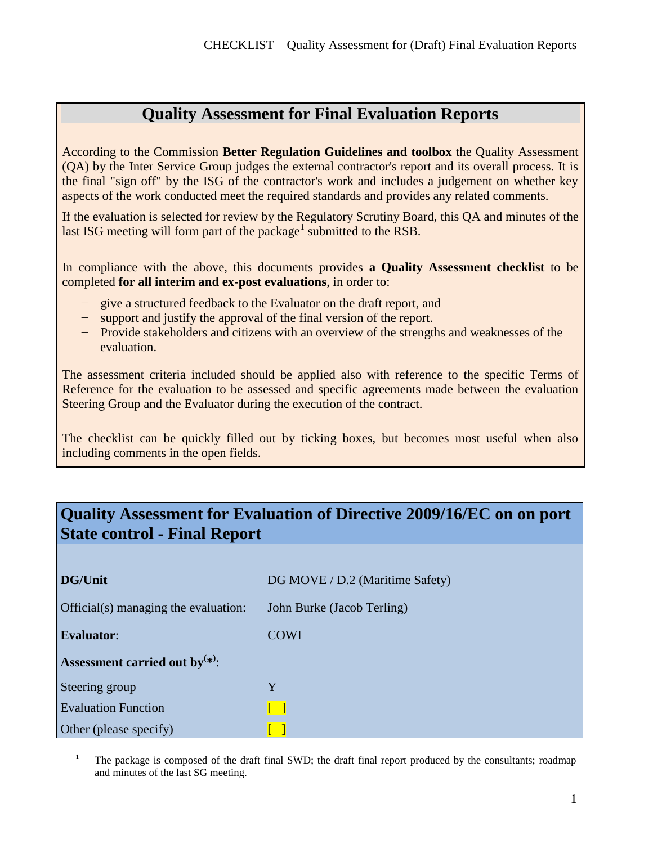## **Quality Assessment for Final Evaluation Reports**

According to the Commission **Better Regulation Guidelines and toolbox** the Quality Assessment (QA) by the Inter Service Group judges the external contractor's report and its overall process. It is the final "sign off" by the ISG of the contractor's work and includes a judgement on whether key aspects of the work conducted meet the required standards and provides any related comments.

If the evaluation is selected for review by the Regulatory Scrutiny Board, this QA and minutes of the last ISG meeting will form part of the package<sup>1</sup> submitted to the RSB.

In compliance with the above, this documents provides **a Quality Assessment checklist** to be completed **for all interim and ex-post evaluations**, in order to:

- give a structured feedback to the Evaluator on the draft report, and
- − support and justify the approval of the final version of the report.
- − Provide stakeholders and citizens with an overview of the strengths and weaknesses of the evaluation.

The assessment criteria included should be applied also with reference to the specific Terms of Reference for the evaluation to be assessed and specific agreements made between the evaluation Steering Group and the Evaluator during the execution of the contract.

The checklist can be quickly filled out by ticking boxes, but becomes most useful when also including comments in the open fields.

## **Quality Assessment for Evaluation of Directive 2009/16/EC on on port State control - Final Report**

| <b>DG/Unit</b>                       | DG MOVE / D.2 (Maritime Safety) |
|--------------------------------------|---------------------------------|
| Official(s) managing the evaluation: | John Burke (Jacob Terling)      |
| <b>Evaluator:</b>                    | <b>COWI</b>                     |
| Assessment carried out by $(*)$ :    |                                 |
| Steering group                       | Y                               |
| <b>Evaluation Function</b>           |                                 |
| Other (please specify)               |                                 |
|                                      |                                 |

<sup>1</sup> The package is composed of the draft final SWD; the draft final report produced by the consultants; roadmap and minutes of the last SG meeting.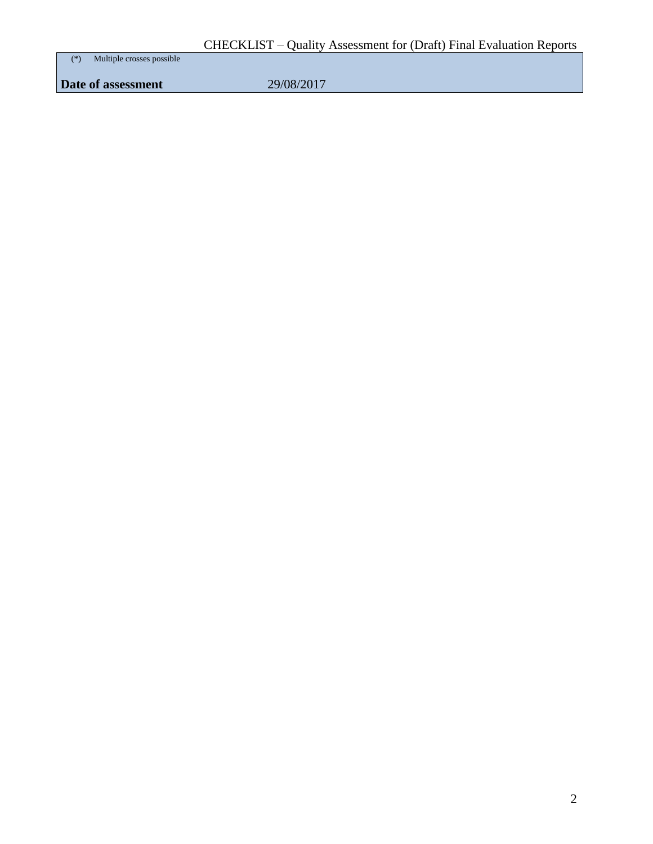(\*) Multiple crosses possible

**Date of assessment** 29/08/2017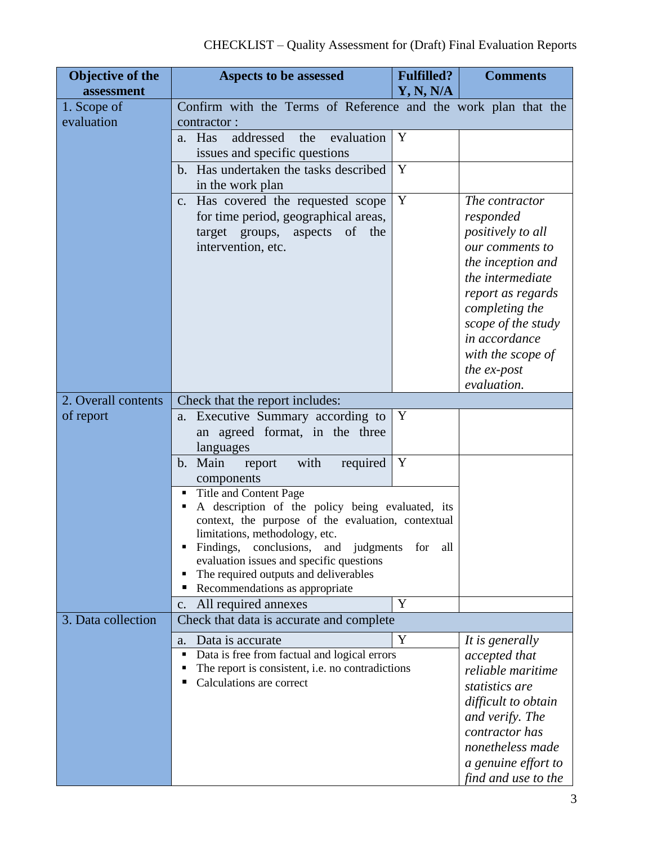| Objective of the          | Aspects to be assessed                                                                                                                                 | <b>Fulfilled?</b>   | <b>Comments</b>                                                                                                                                                                                                        |
|---------------------------|--------------------------------------------------------------------------------------------------------------------------------------------------------|---------------------|------------------------------------------------------------------------------------------------------------------------------------------------------------------------------------------------------------------------|
| assessment                |                                                                                                                                                        | Y, N, N/A           |                                                                                                                                                                                                                        |
| 1. Scope of<br>evaluation | Confirm with the Terms of Reference and the work plan that the                                                                                         |                     |                                                                                                                                                                                                                        |
|                           | contractor:<br>addressed<br>evaluation<br>Has<br>the                                                                                                   | Y                   |                                                                                                                                                                                                                        |
|                           | a.<br>issues and specific questions                                                                                                                    |                     |                                                                                                                                                                                                                        |
|                           | b. Has undertaken the tasks described                                                                                                                  | Y                   |                                                                                                                                                                                                                        |
|                           | in the work plan                                                                                                                                       |                     |                                                                                                                                                                                                                        |
|                           | Has covered the requested scope<br>C <sub>1</sub><br>for time period, geographical areas,<br>target groups,<br>aspects<br>of the<br>intervention, etc. | Y                   | The contractor<br>responded<br><i>positively to all</i><br>our comments to<br>the inception and<br>the intermediate<br>report as regards<br>completing the<br>scope of the study<br>in accordance<br>with the scope of |
|                           |                                                                                                                                                        |                     | the ex-post                                                                                                                                                                                                            |
|                           |                                                                                                                                                        |                     | evaluation.                                                                                                                                                                                                            |
| 2. Overall contents       | Check that the report includes:                                                                                                                        |                     |                                                                                                                                                                                                                        |
| of report                 | Executive Summary according to<br>a.<br>an agreed format, in the three<br>languages                                                                    | Y                   |                                                                                                                                                                                                                        |
|                           | with<br>b. Main<br>required<br>report                                                                                                                  | Y                   |                                                                                                                                                                                                                        |
|                           | components                                                                                                                                             |                     |                                                                                                                                                                                                                        |
|                           | Title and Content Page<br>٠                                                                                                                            |                     |                                                                                                                                                                                                                        |
|                           | A description of the policy being evaluated, its                                                                                                       |                     |                                                                                                                                                                                                                        |
|                           | context, the purpose of the evaluation, contextual<br>limitations, methodology, etc.                                                                   |                     |                                                                                                                                                                                                                        |
|                           | Findings,<br>conclusions,<br>judgments<br>and                                                                                                          | for<br>all          |                                                                                                                                                                                                                        |
|                           | evaluation issues and specific questions                                                                                                               |                     |                                                                                                                                                                                                                        |
|                           | The required outputs and deliverables<br>٠                                                                                                             |                     |                                                                                                                                                                                                                        |
|                           | Recommendations as appropriate<br>п                                                                                                                    | Y                   |                                                                                                                                                                                                                        |
| 3. Data collection        | All required annexes<br>c.                                                                                                                             |                     |                                                                                                                                                                                                                        |
|                           | Check that data is accurate and complete                                                                                                               |                     |                                                                                                                                                                                                                        |
|                           | Data is accurate<br>a.                                                                                                                                 | Y                   | It is generally                                                                                                                                                                                                        |
|                           | Data is free from factual and logical errors<br>٠<br>The report is consistent, i.e. no contradictions                                                  |                     | accepted that<br>reliable maritime                                                                                                                                                                                     |
|                           | Calculations are correct                                                                                                                               |                     | statistics are                                                                                                                                                                                                         |
|                           |                                                                                                                                                        | difficult to obtain |                                                                                                                                                                                                                        |
|                           |                                                                                                                                                        |                     | and verify. The                                                                                                                                                                                                        |
|                           |                                                                                                                                                        |                     | contractor has                                                                                                                                                                                                         |
|                           |                                                                                                                                                        |                     | nonetheless made                                                                                                                                                                                                       |
|                           |                                                                                                                                                        |                     | a genuine effort to                                                                                                                                                                                                    |
|                           |                                                                                                                                                        |                     | find and use to the                                                                                                                                                                                                    |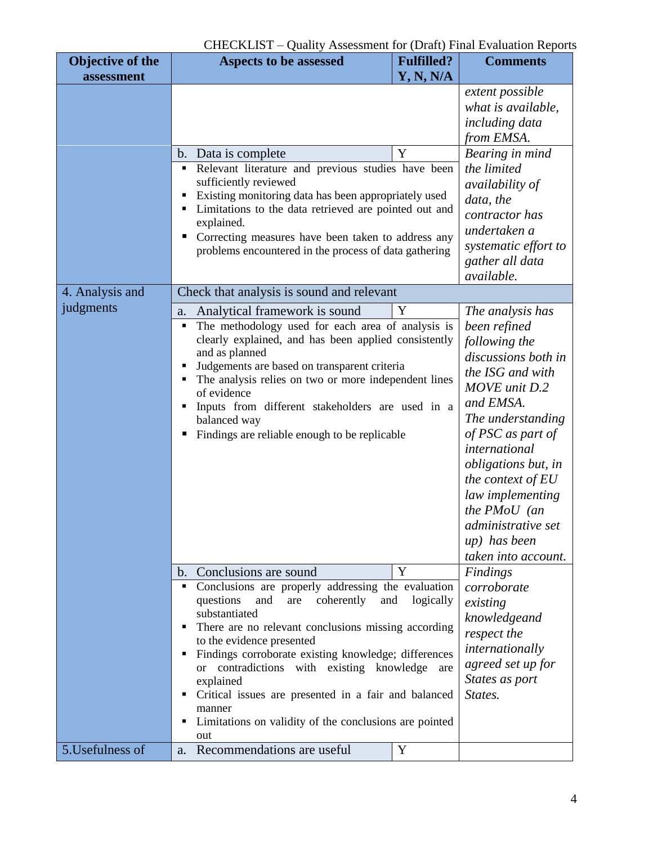## CHECKLIST – Quality Assessment for (Draft) Final Evaluation Reports

| <b>Objective of the</b> | Aspects to be assessed                                                                                                                                                                                                                                                                                                                                                                                                        | <b>Fulfilled?</b>                                                                                                                                                                                                                                                                                                                                        | <b>Comments</b>                                                                                                                                                                                                                                                                                                                               |
|-------------------------|-------------------------------------------------------------------------------------------------------------------------------------------------------------------------------------------------------------------------------------------------------------------------------------------------------------------------------------------------------------------------------------------------------------------------------|----------------------------------------------------------------------------------------------------------------------------------------------------------------------------------------------------------------------------------------------------------------------------------------------------------------------------------------------------------|-----------------------------------------------------------------------------------------------------------------------------------------------------------------------------------------------------------------------------------------------------------------------------------------------------------------------------------------------|
| assessment              |                                                                                                                                                                                                                                                                                                                                                                                                                               | <b>Y, N, N/A</b>                                                                                                                                                                                                                                                                                                                                         |                                                                                                                                                                                                                                                                                                                                               |
|                         |                                                                                                                                                                                                                                                                                                                                                                                                                               |                                                                                                                                                                                                                                                                                                                                                          | extent possible<br>what is available,<br>including data<br>from EMSA.                                                                                                                                                                                                                                                                         |
|                         | Data is complete<br>$\mathbf{b}$ .                                                                                                                                                                                                                                                                                                                                                                                            | Y                                                                                                                                                                                                                                                                                                                                                        | Bearing in mind                                                                                                                                                                                                                                                                                                                               |
|                         | Relevant literature and previous studies have been<br>٠<br>sufficiently reviewed<br>Existing monitoring data has been appropriately used<br>٠<br>Limitations to the data retrieved are pointed out and<br>٠<br>explained.<br>Correcting measures have been taken to address any<br>ш<br>problems encountered in the process of data gathering                                                                                 | the limited<br><i>availability of</i><br>data, the<br>contractor has<br>undertaken a<br>systematic effort to<br>gather all data<br>available.                                                                                                                                                                                                            |                                                                                                                                                                                                                                                                                                                                               |
| 4. Analysis and         | Check that analysis is sound and relevant                                                                                                                                                                                                                                                                                                                                                                                     |                                                                                                                                                                                                                                                                                                                                                          |                                                                                                                                                                                                                                                                                                                                               |
| judgments               | Analytical framework is sound<br>Y<br>a.<br>The methodology used for each area of analysis is<br>٠<br>clearly explained, and has been applied consistently<br>and as planned<br>Judgements are based on transparent criteria<br>٠<br>The analysis relies on two or more independent lines<br>of evidence<br>Inputs from different stakeholders are used in a<br>balanced way<br>Findings are reliable enough to be replicable |                                                                                                                                                                                                                                                                                                                                                          | The analysis has<br>been refined<br>following the<br>discussions both in<br>the ISG and with<br>MOVE unit D.2<br>and EMSA.<br>The understanding<br>of PSC as part of<br>international<br><i>obligations but, in</i><br>the context of $EU$<br>law implementing<br>the $PMoU$ (an<br>administrative set<br>up) has been<br>taken into account. |
|                         | b. Conclusions are sound                                                                                                                                                                                                                                                                                                                                                                                                      | Y                                                                                                                                                                                                                                                                                                                                                        | Findings                                                                                                                                                                                                                                                                                                                                      |
|                         | ٠<br>coherently<br>questions<br>and<br>are<br>substantiated<br>to the evidence presented<br>٠<br><sub>or</sub><br>explained<br>٠<br>manner<br>٠<br>out                                                                                                                                                                                                                                                                        | Conclusions are properly addressing the evaluation<br>logically<br>and<br>There are no relevant conclusions missing according<br>Findings corroborate existing knowledge; differences<br>contradictions with existing knowledge<br>are<br>Critical issues are presented in a fair and balanced<br>Limitations on validity of the conclusions are pointed |                                                                                                                                                                                                                                                                                                                                               |
| 5. Usefulness of        | a. Recommendations are useful                                                                                                                                                                                                                                                                                                                                                                                                 | Y                                                                                                                                                                                                                                                                                                                                                        |                                                                                                                                                                                                                                                                                                                                               |